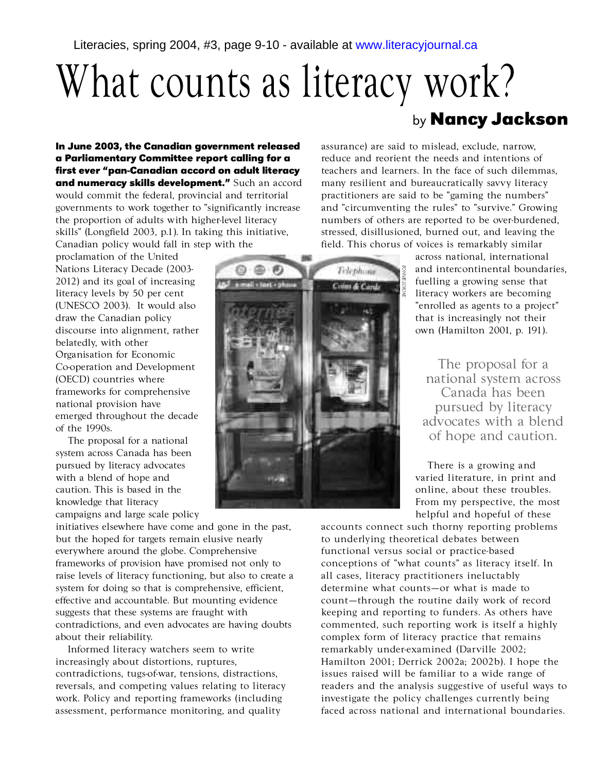## What counts as literacy work? by **Nancy Jackson**

**In June 2003, the Canadian government released a Parliamentary Committee report calling for a** first ever "pan-Canadian accord on adult literacy **and numeracy skills development."** Such an accord would commit the federal, provincial and territorial governments to work together to "significantly increase the proportion of adults with higher-level literacy skills" (Longfield 2003, p.1). In taking this initiative, Canadian policy would fall in step with the

proclamation of the United Nations Literacy Decade (2003- $2012$ ) and its goal of increasing literacy levels by 50 per cent (UNESCO 2003). It would also draw the Canadian policy discourse into alignment, rather belatedly, with other Organisation for Economic Co-operation and Development (OECD) countries where frameworks for comprehensive national provision have emerged throughout the decade of the 1990s.

The proposal for a national system across Canada has been pursued by literacy advocates with a blend of hope and caution. This is based in the knowledge that literacy campaigns and large scale policy

initiatives elsewhere have come and gone in the past, but the hoped for targets remain elusive nearly every where around the globe. Comprehensive frameworks of provision have promised not only to raise levels of literacy functioning, but also to create a system for doing so that is comprehensive, efficient, effective and accountable. But mounting evidence suggests that these systems are fraught with contradictions, and even advocates are having doubts about their reliability.

Informed literacy watchers seem to write increasingly about distortions, ruptures, contradictions, tugs-of-war, tensions, distractions, reversals, and competing values relating to literacy work. Policy and reporting frameworks (including assessment, performance monitoring, and quality

assurance) are said to mislead, exclude, narrow, reduce and reorient the needs and intentions of teachers and learners. In the face of such dilemmas, many resilient and bure aucratically savvy literacy practitioners are said to be "gaming the numbers" and "circumventing the rules" to "survive." Growing numbers of others are reported to be over-burdened, stressed, disillusioned, burned out, and leaving the field. This chorus of voices is remarkably similar

> across national, international and intercontinental boundaries, fuelling a growing sense that literacy workers are becoming " enrolled as agents to a project" that is increasingly not their own (Hamilton 2001, p. 191).

The proposal for a national system across Canada has been pursued by literacy advocates with a blend of hope and caution.

There is a growing and varied literature, in print and online, about these troubles. From my perspective, the most helpful and hopeful of these

accounts connect such thorny reporting problems to underlying theoretical debates between functional versus social or practice-based conceptions of "what counts" as literacy itself. In all cases, literacy practitioners ineluctably determine what counts-or what is made to count-through the routine daily work of record keeping and reporting to funders. As others have commented, such reporting work is itself a highly complex form of literacy practice that remains remarkably under-examined (Darville 2002; Hamilton 2001; Derrick 2002a; 2002b). I hope the issues raised will be familiar to a wide range of readers and the analysis suggestive of useful ways to investigate the policy challenges currently being faced across national and international boundaries.